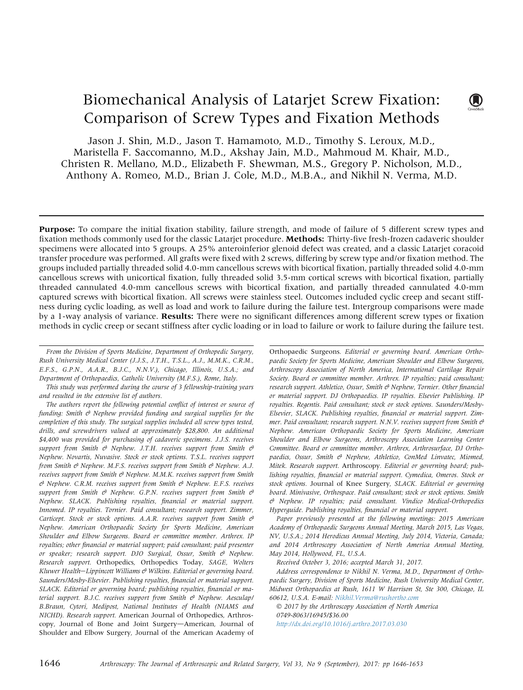# Biomechanical Analysis of Latarjet Screw Fixation: Comparison of Screw Types and Fixation Methods

Jason J. Shin, M.D., Jason T. Hamamoto, M.D., Timothy S. Leroux, M.D., Maristella F. Saccomanno, M.D., Akshay Jain, M.D., Mahmoud M. Khair, M.D., Christen R. Mellano, M.D., Elizabeth F. Shewman, M.S., Gregory P. Nicholson, M.D., Anthony A. Romeo, M.D., Brian J. Cole, M.D., M.B.A., and Nikhil N. Verma, M.D.

**Purpose:** To compare the initial fixation stability, failure strength, and mode of failure of 5 different screw types and fixation methods commonly used for the classic Latarjet procedure. Methods: Thirty-five fresh-frozen cadaveric shoulder specimens were allocated into 5 groups. A 25% anteroinferior glenoid defect was created, and a classic Latarjet coracoid transfer procedure was performed. All grafts were fixed with 2 screws, differing by screw type and/or fixation method. The groups included partially threaded solid 4.0-mm cancellous screws with bicortical fixation, partially threaded solid 4.0-mm cancellous screws with unicortical fixation, fully threaded solid 3.5-mm cortical screws with bicortical fixation, partially threaded cannulated 4.0-mm cancellous screws with bicortical fixation, and partially threaded cannulated 4.0-mm captured screws with bicortical fixation. All screws were stainless steel. Outcomes included cyclic creep and secant stiffness during cyclic loading, as well as load and work to failure during the failure test. Intergroup comparisons were made by a 1-way analysis of variance. **Results:** There were no significant differences among different screw types or fixation methods in cyclic creep or secant stiffness after cyclic loading or in load to failure or work to failure during the failure test.

From the Division of Sports Medicine, Department of Orthopedic Surgery, Rush University Medical Center (J.J.S., J.T.H., T.S.L., A.J., M.M.K., C.R.M., E.F.S., G.P.N., A.A.R., B.J.C., N.N.V.), Chicago, Illinois, U.S.A.; and Department of Orthopaedics, Catholic University (M.F.S.), Rome, Italy.

This study was performed during the course of 3 fellowship-training years and resulted in the extensive list of authors.

The authors report the following potential conflict of interest or source of funding: Smith  $\Theta$  Nephew provided funding and surgical supplies for the completion of this study. The surgical supplies included all screw types tested, drills, and screwdrivers valued at approximately \$28,800. An additional \$4,400 was provided for purchasing of cadaveric specimens. J.J.S. receives support from Smith  $\theta$  Nephew. J.T.H. receives support from Smith  $\theta$ Nephew. Novartis, Nuvasive. Stock or stock options. T.S.L. receives support from Smith  $\mathcal{O}$  Nephew. M.F.S. receives support from Smith  $\mathcal{O}$  Nephew. A.J. receives support from Smith  $\Theta$  Nephew. M.M.K. receives support from Smith  $\theta$  Nephew. C.R.M. receives support from Smith  $\theta$  Nephew. E.F.S. receives support from Smith  $\theta$  Nephew. G.P.N. receives support from Smith  $\theta$ Nephew. SLACK. Publishing royalties, financial or material support. Innomed. IP royalties. Tornier. Paid consultant; research support. Zimmer, Carticept. Stock or stock options. A.A.R. receives support from Smith  $\mathcal{C}$ Nephew. American Orthopaedic Society for Sports Medicine, American Shoulder and Elbow Surgeons. Board or committee member. Arthrex. IP royalties; other financial or material support; paid consultant; paid presenter or speaker; research support. DJO Surgical, Ossur, Smith  $\mathcal{C}$  Nephew. Research support. Orthopedics, Orthopedics Today, SAGE, Wolters Kluwer Health-Lippincott Williams  $\mathcal O$  Wilkins. Editorial or governing board. Saunders/Mosby-Elsevier. Publishing royalties, financial or material support. SLACK. Editorial or governing board; publishing royalties, financial or material support. B.J.C. receives support from Smith  $\theta$  Nephew. Aesculap/ B.Braun, Cytori, Medipost, National Institutes of Health (NIAMS and NICHD). Research support. American Journal of Orthopedics, Arthroscopy, Journal of Bone and Joint Surgery-American, Journal of Shoulder and Elbow Surgery, Journal of the American Academy of

Orthopaedic Surgeons. Editorial or governing board. American Orthopaedic Society for Sports Medicine, American Shoulder and Elbow Surgeons, Arthroscopy Association of North America, International Cartilage Repair Society. Board or committee member. Arthrex. IP royalties; paid consultant; research support. Athletico, Ossur, Smith  $\mathcal O$  Nephew, Tornier. Other financial or material support. DJ Orthopaedics. IP royalties. Elsevier Publishing. IP royalties. Regentis. Paid consultant; stock or stock options. Saunders/Mosby-Elsevier, SLACK. Publishing royalties, financial or material support. Zimmer. Paid consultant; research support. N.N.V. receives support from Smith  $\mathcal O$ Nephew. American Orthopaedic Society for Sports Medicine, American Shoulder and Elbow Surgeons, Arthroscopy Association Learning Center Committee. Board or committee member. Arthrex, Arthrosurface, DJ Orthopaedics, Ossur, Smith  $\mathcal{O}$  Nephew, Athletico, ConMed Linvatec, Miomed, Mitek. Research support. Arthroscopy. Editorial or governing board; publishing royalties, financial or material support. Cymedica, Omeros. Stock or stock options. Journal of Knee Surgery, SLACK. Editorial or governing board. Minivasive, Orthospace. Paid consultant; stock or stock options. Smith & Nephew. IP royalties; paid consultant. Vindico Medical-Orthopedics Hyperguide. Publishing royalties, financial or material support.

 $\mathbf{U}$ 

Paper previously presented at the following meetings: 2015 American Academy of Orthopaedic Surgeons Annual Meeting, March 2015, Las Vegas, NV, U.S.A.; 2014 Herodicus Annual Meeting, July 2014, Victoria, Canada; and 2014 Arthroscopy Association of North America Annual Meeting, May 2014, Hollywood, FL, U.S.A.

Received October 3, 2016; accepted March 31, 2017.

Address correspondence to Nikhil N. Verma, M.D., Department of Orthopaedic Surgery, Division of Sports Medicine, Rush University Medical Center, Midwest Orthopaedics at Rush, 1611 W Harrison St, Ste 300, Chicago, IL 60612, U.S.A. E-mail: Nikhil.Verma@rushortho.com

 2017 by the Arthroscopy Association of North America 0749-8063/16945/\$36.00 http://dx.doi.org/10.1016/j.arthro.2017.03.030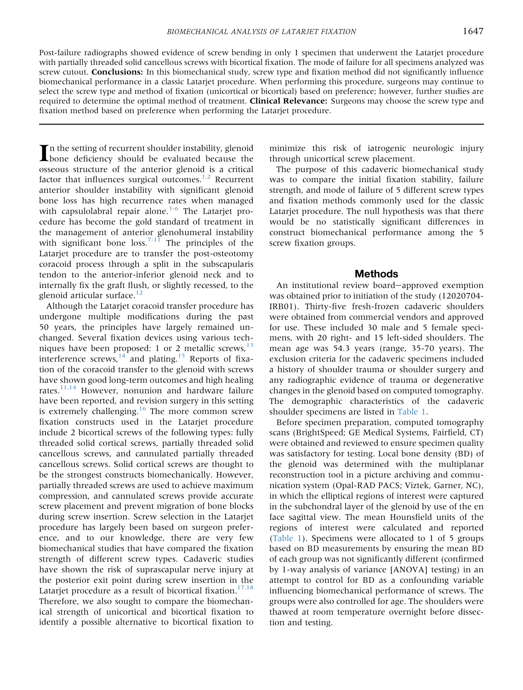Post-failure radiographs showed evidence of screw bending in only 1 specimen that underwent the Latarjet procedure with partially threaded solid cancellous screws with bicortical fixation. The mode of failure for all specimens analyzed was screw cutout. **Conclusions:** In this biomechanical study, screw type and fixation method did not significantly influence biomechanical performance in a classic Latarjet procedure. When performing this procedure, surgeons may continue to select the screw type and method of fixation (unicortical or bicortical) based on preference; however, further studies are required to determine the optimal method of treatment. Clinical Relevance: Surgeons may choose the screw type and fixation method based on preference when performing the Latarjet procedure.

In the setting of recurrent shoulder instability, glenoid<br>bone deficiency should be evaluated because the osseous structure of the anterior glenoid is a critical factor that influences surgical outcomes. $1,2$  Recurrent anterior shoulder instability with significant glenoid bone loss has high recurrence rates when managed with capsulolabral repair alone. $3-6$  The Latarjet procedure has become the gold standard of treatment in the management of anterior glenohumeral instability with significant bone  $loss.<sup>7-11</sup>$  The principles of the Latarjet procedure are to transfer the post-osteotomy coracoid process through a split in the subscapularis tendon to the anterior-inferior glenoid neck and to internally fix the graft flush, or slightly recessed, to the glenoid articular surface.<sup>12</sup>

Although the Latarjet coracoid transfer procedure has undergone multiple modifications during the past 50 years, the principles have largely remained unchanged. Several fixation devices using various techniques have been proposed: 1 or 2 metallic screws,  $13$ interference screws, $14$  and plating.<sup>15</sup> Reports of fixation of the coracoid transfer to the glenoid with screws have shown good long-term outcomes and high healing rates. $11,14$  However, nonunion and hardware failure have been reported, and revision surgery in this setting is extremely challenging.<sup>16</sup> The more common screw fixation constructs used in the Latarjet procedure include 2 bicortical screws of the following types: fully threaded solid cortical screws, partially threaded solid cancellous screws, and cannulated partially threaded cancellous screws. Solid cortical screws are thought to be the strongest constructs biomechanically. However, partially threaded screws are used to achieve maximum compression, and cannulated screws provide accurate screw placement and prevent migration of bone blocks during screw insertion. Screw selection in the Latarjet procedure has largely been based on surgeon preference, and to our knowledge, there are very few biomechanical studies that have compared the fixation strength of different screw types. Cadaveric studies have shown the risk of suprascapular nerve injury at the posterior exit point during screw insertion in the Latarjet procedure as a result of bicortical fixation. $17,18$ Therefore, we also sought to compare the biomechanical strength of unicortical and bicortical fixation to identify a possible alternative to bicortical fixation to minimize this risk of iatrogenic neurologic injury through unicortical screw placement.

The purpose of this cadaveric biomechanical study was to compare the initial fixation stability, failure strength, and mode of failure of 5 different screw types and fixation methods commonly used for the classic Latarjet procedure. The null hypothesis was that there would be no statistically significant differences in construct biomechanical performance among the 5 screw fixation groups.

## Methods

An institutional review board-approved exemption was obtained prior to initiation of the study (12020704- IRB01). Thirty-five fresh-frozen cadaveric shoulders were obtained from commercial vendors and approved for use. These included 30 male and 5 female specimens, with 20 right- and 15 left-sided shoulders. The mean age was 54.3 years (range, 35-70 years). The exclusion criteria for the cadaveric specimens included a history of shoulder trauma or shoulder surgery and any radiographic evidence of trauma or degenerative changes in the glenoid based on computed tomography. The demographic characteristics of the cadaveric shoulder specimens are listed in Table 1.

Before specimen preparation, computed tomography scans (BrightSpeed; GE Medical Systems, Fairfield, CT) were obtained and reviewed to ensure specimen quality was satisfactory for testing. Local bone density (BD) of the glenoid was determined with the multiplanar reconstruction tool in a picture archiving and communication system (Opal-RAD PACS; Viztek, Garner, NC), in which the elliptical regions of interest were captured in the subchondral layer of the glenoid by use of the en face sagittal view. The mean Hounsfield units of the regions of interest were calculated and reported (Table 1). Specimens were allocated to 1 of 5 groups based on BD measurements by ensuring the mean BD of each group was not significantly different (confirmed by 1-way analysis of variance [ANOVA] testing) in an attempt to control for BD as a confounding variable influencing biomechanical performance of screws. The groups were also controlled for age. The shoulders were thawed at room temperature overnight before dissection and testing.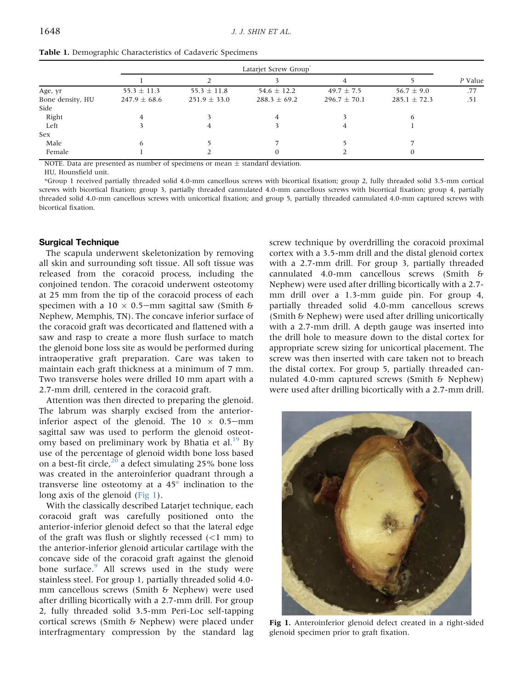|                  |                  | Latarjet Screw Group |                  |                  |                  |         |
|------------------|------------------|----------------------|------------------|------------------|------------------|---------|
|                  |                  |                      |                  |                  |                  | P Value |
| Age, yr          | $55.3 \pm 11.3$  | $55.3 \pm 11.8$      | $54.6 \pm 12.2$  | $49.7 \pm 7.5$   | $56.7 \pm 9.0$   | .77     |
| Bone density, HU | $247.9 \pm 68.6$ | $251.9 \pm 33.0$     | $288.3 \pm 69.2$ | $296.7 \pm 70.1$ | $285.1 \pm 72.3$ | .51     |
| Side             |                  |                      |                  |                  |                  |         |
| Right            |                  |                      |                  |                  | n                |         |
| Left             |                  | 4                    |                  |                  |                  |         |
| Sex              |                  |                      |                  |                  |                  |         |
| Male             |                  |                      |                  |                  |                  |         |
| Female           |                  |                      |                  |                  |                  |         |

Table 1. Demographic Characteristics of Cadaveric Specimens

NOTE. Data are presented as number of specimens or mean  $\pm$  standard deviation.

HU, Hounsfield unit.

\*Group 1 received partially threaded solid 4.0-mm cancellous screws with bicortical fixation; group 2, fully threaded solid 3.5-mm cortical screws with bicortical fixation; group 3, partially threaded cannulated 4.0-mm cancellous screws with bicortical fixation; group 4, partially threaded solid 4.0-mm cancellous screws with unicortical fixation; and group 5, partially threaded cannulated 4.0-mm captured screws with bicortical fixation.

#### Surgical Technique

The scapula underwent skeletonization by removing all skin and surrounding soft tissue. All soft tissue was released from the coracoid process, including the conjoined tendon. The coracoid underwent osteotomy at 25 mm from the tip of the coracoid process of each specimen with a  $10 \times 0.5$ —mm sagittal saw (Smith & Nephew, Memphis, TN). The concave inferior surface of the coracoid graft was decorticated and flattened with a saw and rasp to create a more flush surface to match the glenoid bone loss site as would be performed during intraoperative graft preparation. Care was taken to maintain each graft thickness at a minimum of 7 mm. Two transverse holes were drilled 10 mm apart with a 2.7-mm drill, centered in the coracoid graft.

Attention was then directed to preparing the glenoid. The labrum was sharply excised from the anteriorinferior aspect of the glenoid. The  $10 \times 0.5$ -mm sagittal saw was used to perform the glenoid osteotomy based on preliminary work by Bhatia et al.<sup>19</sup> By use of the percentage of glenoid width bone loss based on a best-fit circle, $^{20}$  a defect simulating 25% bone loss was created in the anteroinferior quadrant through a transverse line osteotomy at a  $45^{\circ}$  inclination to the long axis of the glenoid (Fig 1).

With the classically described Latarjet technique, each coracoid graft was carefully positioned onto the anterior-inferior glenoid defect so that the lateral edge of the graft was flush or slightly recessed  $(<1$  mm) to the anterior-inferior glenoid articular cartilage with the concave side of the coracoid graft against the glenoid bone surface.<sup>9</sup> All screws used in the study were stainless steel. For group 1, partially threaded solid 4.0 mm cancellous screws (Smith & Nephew) were used after drilling bicortically with a 2.7-mm drill. For group 2, fully threaded solid 3.5-mm Peri-Loc self-tapping cortical screws (Smith & Nephew) were placed under interfragmentary compression by the standard lag screw technique by overdrilling the coracoid proximal cortex with a 3.5-mm drill and the distal glenoid cortex with a 2.7-mm drill. For group 3, partially threaded cannulated 4.0-mm cancellous screws (Smith & Nephew) were used after drilling bicortically with a 2.7 mm drill over a 1.3-mm guide pin. For group 4, partially threaded solid 4.0-mm cancellous screws (Smith & Nephew) were used after drilling unicortically with a 2.7-mm drill. A depth gauge was inserted into the drill hole to measure down to the distal cortex for appropriate screw sizing for unicortical placement. The screw was then inserted with care taken not to breach the distal cortex. For group 5, partially threaded cannulated 4.0-mm captured screws (Smith & Nephew) were used after drilling bicortically with a 2.7-mm drill.



Fig 1. Anteroinferior glenoid defect created in a right-sided glenoid specimen prior to graft fixation.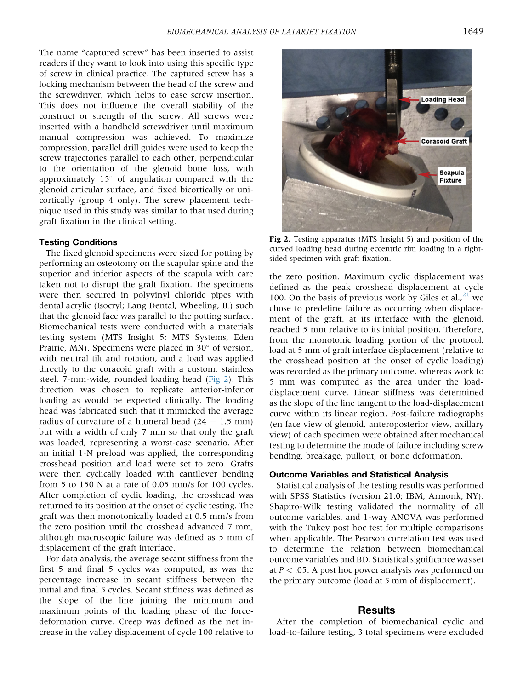The name "captured screw" has been inserted to assist readers if they want to look into using this specific type of screw in clinical practice. The captured screw has a locking mechanism between the head of the screw and the screwdriver, which helps to ease screw insertion. This does not influence the overall stability of the construct or strength of the screw. All screws were inserted with a handheld screwdriver until maximum manual compression was achieved. To maximize compression, parallel drill guides were used to keep the screw trajectories parallel to each other, perpendicular to the orientation of the glenoid bone loss, with approximately  $15^\circ$  of angulation compared with the glenoid articular surface, and fixed bicortically or unicortically (group 4 only). The screw placement technique used in this study was similar to that used during graft fixation in the clinical setting.

#### Testing Conditions

The fixed glenoid specimens were sized for potting by performing an osteotomy on the scapular spine and the superior and inferior aspects of the scapula with care taken not to disrupt the graft fixation. The specimens were then secured in polyvinyl chloride pipes with dental acrylic (Isocryl; Lang Dental, Wheeling, IL) such that the glenoid face was parallel to the potting surface. Biomechanical tests were conducted with a materials testing system (MTS Insight 5; MTS Systems, Eden Prairie, MN). Specimens were placed in 30° of version, with neutral tilt and rotation, and a load was applied directly to the coracoid graft with a custom, stainless steel, 7-mm-wide, rounded loading head (Fig 2). This direction was chosen to replicate anterior-inferior loading as would be expected clinically. The loading head was fabricated such that it mimicked the average radius of curvature of a humeral head  $(24 \pm 1.5 \text{ mm})$ but with a width of only 7 mm so that only the graft was loaded, representing a worst-case scenario. After an initial 1-N preload was applied, the corresponding crosshead position and load were set to zero. Grafts were then cyclically loaded with cantilever bending from 5 to 150 N at a rate of 0.05 mm/s for 100 cycles. After completion of cyclic loading, the crosshead was returned to its position at the onset of cyclic testing. The graft was then monotonically loaded at 0.5 mm/s from the zero position until the crosshead advanced 7 mm, although macroscopic failure was defined as 5 mm of displacement of the graft interface.

For data analysis, the average secant stiffness from the first 5 and final 5 cycles was computed, as was the percentage increase in secant stiffness between the initial and final 5 cycles. Secant stiffness was defined as the slope of the line joining the minimum and maximum points of the loading phase of the forcedeformation curve. Creep was defined as the net increase in the valley displacement of cycle 100 relative to



Fig 2. Testing apparatus (MTS Insight 5) and position of the curved loading head during eccentric rim loading in a rightsided specimen with graft fixation.

the zero position. Maximum cyclic displacement was defined as the peak crosshead displacement at cycle 100. On the basis of previous work by Giles et al., $^{21}$  we chose to predefine failure as occurring when displacement of the graft, at its interface with the glenoid, reached 5 mm relative to its initial position. Therefore, from the monotonic loading portion of the protocol, load at 5 mm of graft interface displacement (relative to the crosshead position at the onset of cyclic loading) was recorded as the primary outcome, whereas work to 5 mm was computed as the area under the loaddisplacement curve. Linear stiffness was determined as the slope of the line tangent to the load-displacement curve within its linear region. Post-failure radiographs (en face view of glenoid, anteroposterior view, axillary view) of each specimen were obtained after mechanical testing to determine the mode of failure including screw bending, breakage, pullout, or bone deformation.

#### Outcome Variables and Statistical Analysis

Statistical analysis of the testing results was performed with SPSS Statistics (version 21.0; IBM, Armonk, NY). Shapiro-Wilk testing validated the normality of all outcome variables, and 1-way ANOVA was performed with the Tukey post hoc test for multiple comparisons when applicable. The Pearson correlation test was used to determine the relation between biomechanical outcome variables and BD. Statistical significance was set at  $P < .05$ . A post hoc power analysis was performed on the primary outcome (load at 5 mm of displacement).

# **Results**

After the completion of biomechanical cyclic and load-to-failure testing, 3 total specimens were excluded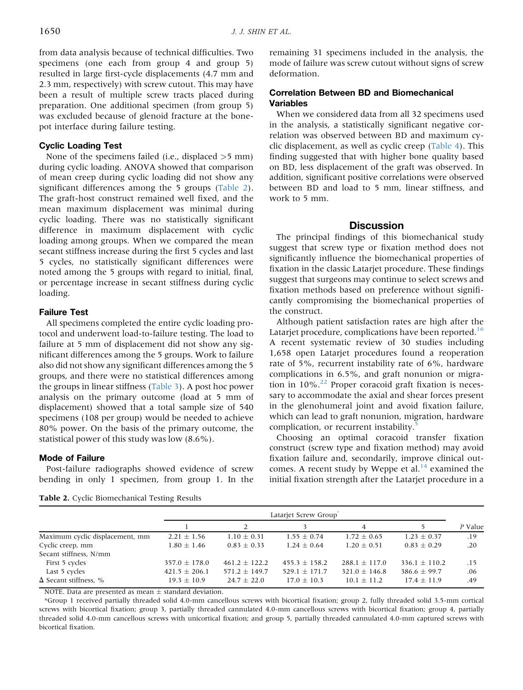from data analysis because of technical difficulties. Two specimens (one each from group 4 and group 5) resulted in large first-cycle displacements (4.7 mm and 2.3 mm, respectively) with screw cutout. This may have been a result of multiple screw tracts placed during preparation. One additional specimen (from group 5) was excluded because of glenoid fracture at the bonepot interface during failure testing.

## Cyclic Loading Test

None of the specimens failed (i.e., displaced >5 mm) during cyclic loading. ANOVA showed that comparison of mean creep during cyclic loading did not show any significant differences among the 5 groups (Table 2). The graft-host construct remained well fixed, and the mean maximum displacement was minimal during cyclic loading. There was no statistically significant difference in maximum displacement with cyclic loading among groups. When we compared the mean secant stiffness increase during the first 5 cycles and last 5 cycles, no statistically significant differences were noted among the 5 groups with regard to initial, final, or percentage increase in secant stiffness during cyclic loading.

#### Failure Test

All specimens completed the entire cyclic loading protocol and underwent load-to-failure testing. The load to failure at 5 mm of displacement did not show any significant differences among the 5 groups. Work to failure also did not show any significant differences among the 5 groups, and there were no statistical differences among the groups in linear stiffness (Table 3). A post hoc power analysis on the primary outcome (load at 5 mm of displacement) showed that a total sample size of 540 specimens (108 per group) would be needed to achieve 80% power. On the basis of the primary outcome, the statistical power of this study was low (8.6%).

#### Mode of Failure

Post-failure radiographs showed evidence of screw bending in only 1 specimen, from group 1. In the remaining 31 specimens included in the analysis, the mode of failure was screw cutout without signs of screw deformation.

# Correlation Between BD and Biomechanical Variables

When we considered data from all 32 specimens used in the analysis, a statistically significant negative correlation was observed between BD and maximum cyclic displacement, as well as cyclic creep (Table 4). This finding suggested that with higher bone quality based on BD, less displacement of the graft was observed. In addition, significant positive correlations were observed between BD and load to 5 mm, linear stiffness, and work to 5 mm.

# **Discussion**

The principal findings of this biomechanical study suggest that screw type or fixation method does not significantly influence the biomechanical properties of fixation in the classic Latarjet procedure. These findings suggest that surgeons may continue to select screws and fixation methods based on preference without significantly compromising the biomechanical properties of the construct.

Although patient satisfaction rates are high after the Latarjet procedure, complications have been reported.<sup>16</sup> A recent systematic review of 30 studies including 1,658 open Latarjet procedures found a reoperation rate of 5%, recurrent instability rate of 6%, hardware complications in 6.5%, and graft nonunion or migration in  $10\%$ .<sup>22</sup> Proper coracoid graft fixation is necessary to accommodate the axial and shear forces present in the glenohumeral joint and avoid fixation failure, which can lead to graft nonunion, migration, hardware complication, or recurrent instability.<sup>5</sup>

Choosing an optimal coracoid transfer fixation construct (screw type and fixation method) may avoid fixation failure and, secondarily, improve clinical outcomes. A recent study by Weppe et al. $^{14}$  examined the initial fixation strength after the Latarjet procedure in a

Table 2. Cyclic Biomechanical Testing Results

|                                 |                   | Latariet Screw Group <sup>®</sup> |                   |                   |                   |         |
|---------------------------------|-------------------|-----------------------------------|-------------------|-------------------|-------------------|---------|
|                                 |                   |                                   |                   | 4                 |                   | P Value |
| Maximum cyclic displacement, mm | $2.21 \pm 1.56$   | $1.10 \pm 0.31$                   | $1.55 \pm 0.74$   | $1.72 \pm 0.65$   | $1.23 \pm 0.37$   | .19     |
| Cyclic creep, mm                | $1.80 \pm 1.46$   | $0.83 \pm 0.33$                   | $1.24 \pm 0.64$   | $1.20 \pm 0.51$   | $0.83 \pm 0.29$   | .20     |
| Secant stiffness, N/mm          |                   |                                   |                   |                   |                   |         |
| First 5 cycles                  | $357.0 \pm 178.0$ | $461.2 + 122.2$                   | $455.3 \pm 158.2$ | $288.1 \pm 117.0$ | $336.1 \pm 110.2$ | .15     |
| Last 5 cycles                   | $421.5 \pm 206.1$ | $571.2 \pm 149.7$                 | $529.1 \pm 171.7$ | $321.0 \pm 146.8$ | $386.6 \pm 99.7$  | .06     |
| $\Delta$ Secant stiffness, %    | $19.3 \pm 10.9$   | $24.7 \pm 22.0$                   | $17.0 \pm 10.3$   | $10.1 \pm 11.2$   | $17.4 + 11.9$     | .49     |

NOTE. Data are presented as mean  $\pm$  standard deviation.

\*Group 1 received partially threaded solid 4.0-mm cancellous screws with bicortical fixation; group 2, fully threaded solid 3.5-mm cortical screws with bicortical fixation; group 3, partially threaded cannulated 4.0-mm cancellous screws with bicortical fixation; group 4, partially threaded solid 4.0-mm cancellous screws with unicortical fixation; and group 5, partially threaded cannulated 4.0-mm captured screws with bicortical fixation.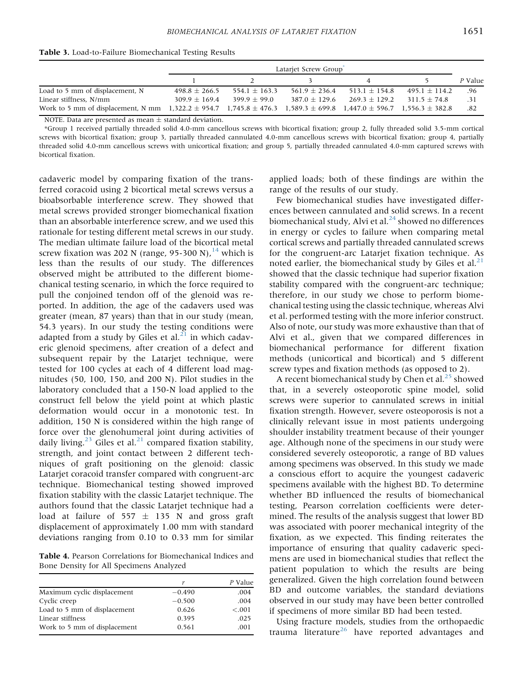| Table 3. Load-to-Failure Biomechanical Testing Results |  |  |  |
|--------------------------------------------------------|--|--|--|
|--------------------------------------------------------|--|--|--|

|                                                                                                                                        | Latarjet Screw Group |                 |                   |                   |                   |         |
|----------------------------------------------------------------------------------------------------------------------------------------|----------------------|-----------------|-------------------|-------------------|-------------------|---------|
|                                                                                                                                        |                      |                 |                   |                   |                   | P Value |
| Load to 5 mm of displacement, N                                                                                                        | $498.8 \pm 266.5$    | $554.1 + 163.3$ | $561.9 \pm 236.4$ | $513.1 \pm 154.8$ | $495.1 \pm 114.2$ | .96     |
| Linear stiffness, N/mm                                                                                                                 | $309.9 + 169.4$      | $399.9 + 99.0$  | $387.0 \pm 129.6$ | $269.3 \pm 129.2$ | $311.5 + 74.8$    | .31     |
| Work to 5 mm of displacement, N mm 1,322.2 $\pm$ 954.7 1,745.8 $\pm$ 476.3 1,589.3 $\pm$ 699.8 1,447.0 $\pm$ 596.7 1,556.3 $\pm$ 382.8 |                      |                 |                   |                   |                   | .82     |

NOTE. Data are presented as mean  $\pm$  standard deviation.

\*Group 1 received partially threaded solid 4.0-mm cancellous screws with bicortical fixation; group 2, fully threaded solid 3.5-mm cortical screws with bicortical fixation; group 3, partially threaded cannulated 4.0-mm cancellous screws with bicortical fixation; group 4, partially threaded solid 4.0-mm cancellous screws with unicortical fixation; and group 5, partially threaded cannulated 4.0-mm captured screws with bicortical fixation.

cadaveric model by comparing fixation of the transferred coracoid using 2 bicortical metal screws versus a bioabsorbable interference screw. They showed that metal screws provided stronger biomechanical fixation than an absorbable interference screw, and we used this rationale for testing different metal screws in our study. The median ultimate failure load of the bicortical metal screw fixation was 202 N (range, 95-300 N),  $^{14}$  which is less than the results of our study. The differences observed might be attributed to the different biomechanical testing scenario, in which the force required to pull the conjoined tendon off of the glenoid was reported. In addition, the age of the cadavers used was greater (mean, 87 years) than that in our study (mean, 54.3 years). In our study the testing conditions were adapted from a study by Giles et al. $^{21}$  in which cadaveric glenoid specimens, after creation of a defect and subsequent repair by the Latarjet technique, were tested for 100 cycles at each of 4 different load magnitudes (50, 100, 150, and 200 N). Pilot studies in the laboratory concluded that a 150-N load applied to the construct fell below the yield point at which plastic deformation would occur in a monotonic test. In addition, 150 N is considered within the high range of force over the glenohumeral joint during activities of daily living.<sup>23</sup> Giles et al.<sup>21</sup> compared fixation stability, strength, and joint contact between 2 different techniques of graft positioning on the glenoid: classic Latarjet coracoid transfer compared with congruent-arc technique. Biomechanical testing showed improved fixation stability with the classic Latarjet technique. The authors found that the classic Latarjet technique had a load at failure of 557  $\pm$  135 N and gross graft displacement of approximately 1.00 mm with standard deviations ranging from 0.10 to 0.33 mm for similar

Table 4. Pearson Correlations for Biomechanical Indices and Bone Density for All Specimens Analyzed

|                              |          | P Value |
|------------------------------|----------|---------|
| Maximum cyclic displacement  | $-0.490$ | .004    |
| Cyclic creep                 | $-0.500$ | .004    |
| Load to 5 mm of displacement | 0.626    | < 0.001 |
| Linear stiffness             | 0.395    | .025    |
| Work to 5 mm of displacement | 0.561    | .001    |

applied loads; both of these findings are within the range of the results of our study.

Few biomechanical studies have investigated differences between cannulated and solid screws. In a recent biomechanical study, Alvi et al. $^{24}$  showed no differences in energy or cycles to failure when comparing metal cortical screws and partially threaded cannulated screws for the congruent-arc Latarjet fixation technique. As noted earlier, the biomechanical study by Giles et al. $^{21}$ showed that the classic technique had superior fixation stability compared with the congruent-arc technique; therefore, in our study we chose to perform biomechanical testing using the classic technique, whereas Alvi et al. performed testing with the more inferior construct. Also of note, our study was more exhaustive than that of Alvi et al., given that we compared differences in biomechanical performance for different fixation methods (unicortical and bicortical) and 5 different screw types and fixation methods (as opposed to 2).

A recent biomechanical study by Chen et al. $^{25}$  showed that, in a severely osteoporotic spine model, solid screws were superior to cannulated screws in initial fixation strength. However, severe osteoporosis is not a clinically relevant issue in most patients undergoing shoulder instability treatment because of their younger age. Although none of the specimens in our study were considered severely osteoporotic, a range of BD values among specimens was observed. In this study we made a conscious effort to acquire the youngest cadaveric specimens available with the highest BD. To determine whether BD influenced the results of biomechanical testing, Pearson correlation coefficients were determined. The results of the analysis suggest that lower BD was associated with poorer mechanical integrity of the fixation, as we expected. This finding reiterates the importance of ensuring that quality cadaveric specimens are used in biomechanical studies that reflect the patient population to which the results are being generalized. Given the high correlation found between BD and outcome variables, the standard deviations observed in our study may have been better controlled if specimens of more similar BD had been tested.

Using fracture models, studies from the orthopaedic trauma literature<sup>26</sup> have reported advantages and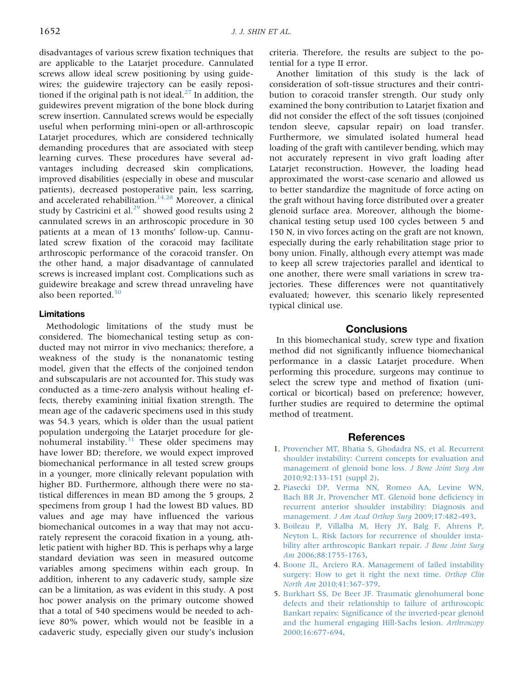disadvantages of various screw fixation techniques that are applicable to the Latarjet procedure. Cannulated screws allow ideal screw positioning by using guidewires; the guidewire trajectory can be easily repositioned if the original path is not ideal. $^{27}$  In addition, the guidewires prevent migration of the bone block during screw insertion. Cannulated screws would be especially useful when performing mini-open or all-arthroscopic Latarjet procedures, which are considered technically demanding procedures that are associated with steep learning curves. These procedures have several advantages including decreased skin complications, improved disabilities (especially in obese and muscular patients), decreased postoperative pain, less scarring, and accelerated rehabilitation.<sup>14,28</sup> Moreover, a clinical study by Castricini et al.<sup>29</sup> showed good results using 2 cannulated screws in an arthroscopic procedure in 30 patients at a mean of 13 months' follow-up. Cannulated screw fixation of the coracoid may facilitate arthroscopic performance of the coracoid transfer. On the other hand, a major disadvantage of cannulated screws is increased implant cost. Complications such as guidewire breakage and screw thread unraveling have also been reported. $30$ 

## Limitations

Methodologic limitations of the study must be considered. The biomechanical testing setup as conducted may not mirror in vivo mechanics; therefore, a weakness of the study is the nonanatomic testing model, given that the effects of the conjoined tendon and subscapularis are not accounted for. This study was conducted as a time-zero analysis without healing effects, thereby examining initial fixation strength. The mean age of the cadaveric specimens used in this study was 54.3 years, which is older than the usual patient population undergoing the Latarjet procedure for glenohumeral instability.<sup>31</sup> These older specimens may have lower BD; therefore, we would expect improved biomechanical performance in all tested screw groups in a younger, more clinically relevant population with higher BD. Furthermore, although there were no statistical differences in mean BD among the 5 groups, 2 specimens from group 1 had the lowest BD values. BD values and age may have influenced the various biomechanical outcomes in a way that may not accurately represent the coracoid fixation in a young, athletic patient with higher BD. This is perhaps why a large standard deviation was seen in measured outcome variables among specimens within each group. In addition, inherent to any cadaveric study, sample size can be a limitation, as was evident in this study. A post hoc power analysis on the primary outcome showed that a total of 540 specimens would be needed to achieve 80% power, which would not be feasible in a cadaveric study, especially given our study's inclusion

criteria. Therefore, the results are subject to the potential for a type II error.

Another limitation of this study is the lack of consideration of soft-tissue structures and their contribution to coracoid transfer strength. Our study only examined the bony contribution to Latarjet fixation and did not consider the effect of the soft tissues (conjoined tendon sleeve, capsular repair) on load transfer. Furthermore, we simulated isolated humeral head loading of the graft with cantilever bending, which may not accurately represent in vivo graft loading after Latarjet reconstruction. However, the loading head approximated the worst-case scenario and allowed us to better standardize the magnitude of force acting on the graft without having force distributed over a greater glenoid surface area. Moreover, although the biomechanical testing setup used 100 cycles between 5 and 150 N, in vivo forces acting on the graft are not known, especially during the early rehabilitation stage prior to bony union. Finally, although every attempt was made to keep all screw trajectories parallel and identical to one another, there were small variations in screw trajectories. These differences were not quantitatively evaluated; however, this scenario likely represented typical clinical use.

# **Conclusions**

In this biomechanical study, screw type and fixation method did not significantly influence biomechanical performance in a classic Latarjet procedure. When performing this procedure, surgeons may continue to select the screw type and method of fixation (unicortical or bicortical) based on preference; however, further studies are required to determine the optimal method of treatment.

## References

- 1. Provencher MT, Bhatia S, Ghodadra NS, et al. Recurrent shoulder instability: Current concepts for evaluation and management of glenoid bone loss. J Bone Joint Surg Am 2010;92:133-151 (suppl 2).
- 2. Piasecki DP, Verma NN, Romeo AA, Levine WN, Bach BR Jr, Provencher MT. Glenoid bone deficiency in recurrent anterior shoulder instability: Diagnosis and management. J Am Acad Orthop Surg 2009;17:482-493.
- 3. Boileau P, Villalba M, Hery JY, Balg F, Ahrens P, Neyton L. Risk factors for recurrence of shoulder instability after arthroscopic Bankart repair. J Bone Joint Surg Am 2006;88:1755-1763.
- 4. Boone JL, Arciero RA. Management of failed instability surgery: How to get it right the next time. Orthop Clin North Am 2010;41:367-379.
- 5. Burkhart SS, De Beer JF. Traumatic glenohumeral bone defects and their relationship to failure of arthroscopic Bankart repairs: Significance of the inverted-pear glenoid and the humeral engaging Hill-Sachs lesion. Arthroscopy 2000;16:677-694.